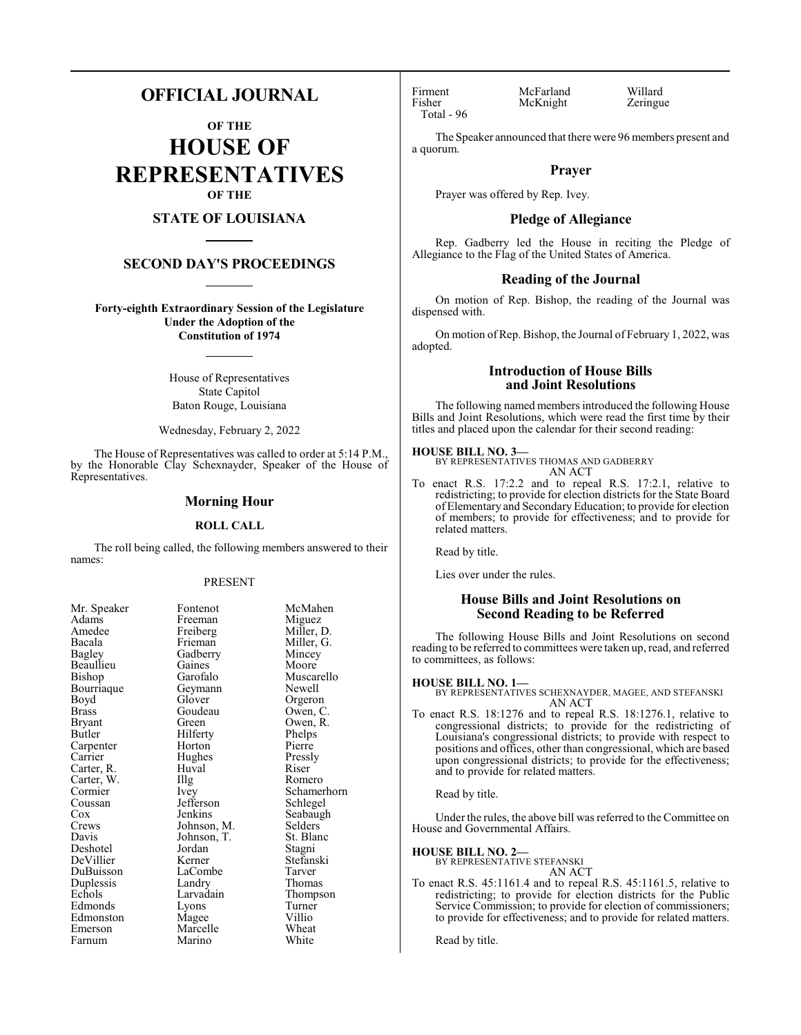# **OFFICIAL JOURNAL**

**OF THE HOUSE OF REPRESENTATIVES OF THE**

# **STATE OF LOUISIANA**

#### **SECOND DAY'S PROCEEDINGS**

**Forty-eighth Extraordinary Session of the Legislature Under the Adoption of the Constitution of 1974**

> House of Representatives State Capitol Baton Rouge, Louisiana

Wednesday, February 2, 2022

The House of Representatives was called to order at 5:14 P.M., by the Honorable Clay Schexnayder, Speaker of the House of Representatives.

## **Morning Hour**

#### **ROLL CALL**

The roll being called, the following members answered to their names:

#### PRESENT

Miller, G.<br>Mincey

Muscarello<br>Newell

Owen, R.<br>Phelps

Schamerhorn<br>Schlegel

Seabaugh<br>Selders

Stefanski<br>Tarver

Thompson<br>Turner

| NIT. Speaker             |
|--------------------------|
| Adams                    |
| Amedee                   |
| Bacala                   |
| Bagley                   |
| Beaullieu                |
| Bishop                   |
| Bourriaque               |
| Boyd                     |
| <b>Brass</b>             |
| <b>Bryant</b>            |
| <b>Butler</b>            |
| Carpenter                |
| Carrier                  |
| Carter, R.<br>Carter, W. |
|                          |
| Cormier                  |
| Coussan                  |
| Cox                      |
| Crews                    |
| Davis                    |
| Deshotel                 |
| DeVillier                |
| DuBuisson                |
| Duplessis                |
| Echols                   |
| Edmonds                  |
| Edmonston                |
| Emerson                  |
| Farnum                   |

Mr. Speaker Fontenot McMahen<br>Adams Freeman Miguez Freeman Miguez<br>Freiberg Miller, I Freiberg Miller, D.<br>Frieman Miller, G. Gadberry Mincey<br>Gaines Moore Gaines<br>Garofalo Geymann<br>Glover Glover Orgeron<br>Goudeau Owen, C Goudeau Owen, C.<br>Green Owen R Hilferty Phelps<br>
Horton Pierre Horton Pierre<br>
Hughes Pressly Hughes Pressl<br>Huval Riser The Romero<br>
The Romero<br>
Schamer Jefferson<br>Jenkins Johnson, M. Selders<br>Johnson, T. St. Blanc Johnson, T.<br>Jordan Jordan Stagni<br>Kerner Stefans LaCombe<br>Landry Landry Thomas<br>Larvadain Thomas Lyons Turner<br>
Mage Villio Magee Villio<br>
Marcelle Wheat Marcelle Wheat<br>
Marino White Marino

Huval

Total - 96

Firment McFarland Willard<br>Fisher McKnight Zeringue McKnight

The Speaker announced that there were 96 members present and a quorum.

#### **Prayer**

Prayer was offered by Rep. Ivey.

#### **Pledge of Allegiance**

Rep. Gadberry led the House in reciting the Pledge of Allegiance to the Flag of the United States of America.

#### **Reading of the Journal**

On motion of Rep. Bishop, the reading of the Journal was dispensed with.

On motion ofRep. Bishop, the Journal of February 1, 2022, was adopted.

### **Introduction of House Bills and Joint Resolutions**

The following named members introduced the following House Bills and Joint Resolutions, which were read the first time by their titles and placed upon the calendar for their second reading:

**HOUSE BILL NO. 3—** BY REPRESENTATIVES THOMAS AND GADBERRY AN ACT

To enact R.S. 17:2.2 and to repeal R.S. 17:2.1, relative to redistricting; to provide for election districts for the State Board of Elementary and SecondaryEducation; to provide for election of members; to provide for effectiveness; and to provide for related matters.

Read by title.

Lies over under the rules.

#### **House Bills and Joint Resolutions on Second Reading to be Referred**

The following House Bills and Joint Resolutions on second reading to be referred to committees were taken up, read, and referred to committees, as follows:

**HOUSE BILL NO. 1—** BY REPRESENTATIVES SCHEXNAYDER, MAGEE, AND STEFANSKI AN ACT

To enact R.S. 18:1276 and to repeal R.S. 18:1276.1, relative to congressional districts; to provide for the redistricting of Louisiana's congressional districts; to provide with respect to positions and offices, other than congressional, which are based upon congressional districts; to provide for the effectiveness; and to provide for related matters.

Read by title.

Under the rules, the above bill was referred to the Committee on House and Governmental Affairs.

#### **HOUSE BILL NO. 2—**

- BY REPRESENTATIVE STEFANSKI AN ACT
- To enact R.S. 45:1161.4 and to repeal R.S. 45:1161.5, relative to redistricting; to provide for election districts for the Public Service Commission; to provide for election of commissioners; to provide for effectiveness; and to provide for related matters.

Read by title.